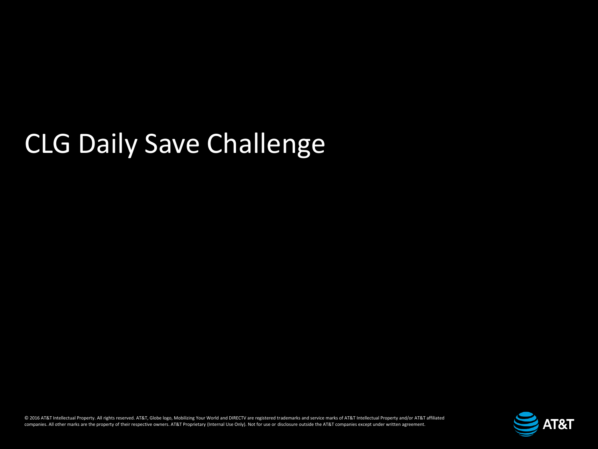# CLG Daily Save Challenge

© 2016 AT&T Intellectual Property. All rights reserved. AT&T, Globe logo, Mobilizing Your World and DIRECTV are registered trademarks and service marks of AT&T Intellectual Property and/or AT&T affiliated companies. All other marks are the property of their respective owners. AT&T Proprietary (Internal Use Only). Not for use or disclosure outside the AT&T companies except under written agreement.

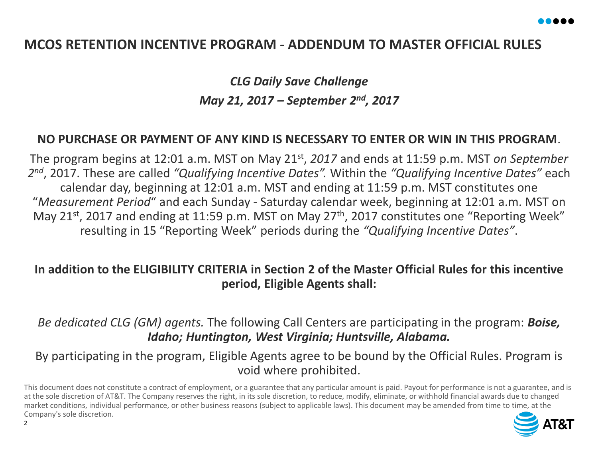## **MCOS RETENTION INCENTIVE PROGRAM - ADDENDUM TO MASTER OFFICIAL RULES**

*CLG Daily Save Challenge May 21, 2017 – September 2nd, 2017*

## **NO PURCHASE OR PAYMENT OF ANY KIND IS NECESSARY TO ENTER OR WIN IN THIS PROGRAM**.

The program begins at 12:01 a.m. MST on May 21st , *2017* and ends at 11:59 p.m. MST *on September 2 nd*, 2017. These are called *"Qualifying Incentive Dates".* Within the *"Qualifying Incentive Dates"* each calendar day, beginning at 12:01 a.m. MST and ending at 11:59 p.m. MST constitutes one "*Measurement Period*" and each Sunday - Saturday calendar week, beginning at 12:01 a.m. MST on May 21<sup>st</sup>, 2017 and ending at 11:59 p.m. MST on May 27<sup>th</sup>, 2017 constitutes one "Reporting Week" resulting in 15 "Reporting Week" periods during the *"Qualifying Incentive Dates"*.

## **In addition to the ELIGIBILITY CRITERIA in Section 2 of the Master Official Rules for this incentive period, Eligible Agents shall:**

*Be dedicated CLG (GM) agents.* The following Call Centers are participating in the program: *Boise, Idaho; Huntington, West Virginia; Huntsville, Alabama.* 

By participating in the program, Eligible Agents agree to be bound by the Official Rules. Program is void where prohibited.

This document does not constitute a contract of employment, or a guarantee that any particular amount is paid. Payout for performance is not a guarantee, and is at the sole discretion of AT&T. The Company reserves the right, in its sole discretion, to reduce, modify, eliminate, or withhold financial awards due to changed market conditions, individual performance, or other business reasons (subject to applicable laws). This document may be amended from time to time, at the Company's sole discretion.

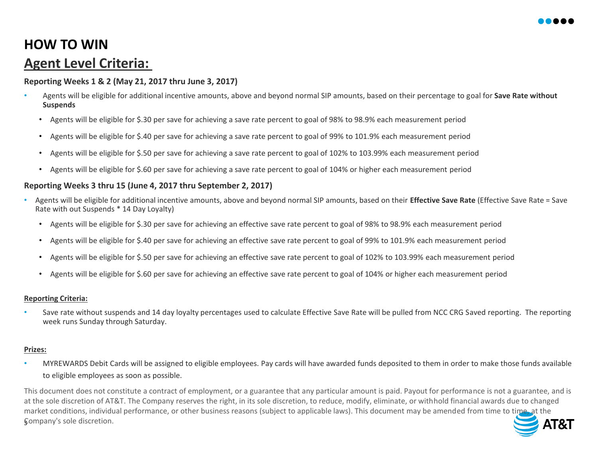# **HOW TO WIN Agent Level Criteria:**

### **Reporting Weeks 1 & 2 (May 21, 2017 thru June 3, 2017)**

- Agents will be eligible for additional incentive amounts, above and beyond normal SIP amounts, based on their percentage to goal for **Save Rate without Suspends**
	- Agents will be eligible for \$.30 per save for achieving a save rate percent to goal of 98% to 98.9% each measurement period
	- Agents will be eligible for \$.40 per save for achieving a save rate percent to goal of 99% to 101.9% each measurement period
	- Agents will be eligible for \$.50 per save for achieving a save rate percent to goal of 102% to 103.99% each measurement period
	- Agents will be eligible for \$.60 per save for achieving a save rate percent to goal of 104% or higher each measurement period

## **Reporting Weeks 3 thru 15 (June 4, 2017 thru September 2, 2017)**

- Agents will be eligible for additional incentive amounts, above and beyond normal SIP amounts, based on their **Effective Save Rate** (Effective Save Rate = Save Rate with out Suspends \* 14 Day Loyalty)
	- Agents will be eligible for \$.30 per save for achieving an effective save rate percent to goal of 98% to 98.9% each measurement period
	- Agents will be eligible for \$.40 per save for achieving an effective save rate percent to goal of 99% to 101.9% each measurement period
	- Agents will be eligible for \$.50 per save for achieving an effective save rate percent to goal of 102% to 103.99% each measurement period
	- Agents will be eligible for \$.60 per save for achieving an effective save rate percent to goal of 104% or higher each measurement period

#### **Reporting Criteria:**

Save rate without suspends and 14 day loyalty percentages used to calculate Effective Save Rate will be pulled from NCC CRG Saved reporting. The reporting week runs Sunday through Saturday.

#### **Prizes:**

• MYREWARDS Debit Cards will be assigned to eligible employees. Pay cards will have awarded funds deposited to them in order to make those funds available to eligible employees as soon as possible.

This document does not constitute a contract of employment, or a guarantee that any particular amount is paid. Payout for performance is not a guarantee, and is at the sole discretion of AT&T. The Company reserves the right, in its sole discretion, to reduce, modify, eliminate, or withhold financial awards due to changed market conditions, individual performance, or other business reasons (subject to applicable laws). This document may be amended from time to time, at the 3 Company's sole discretion.AT&T